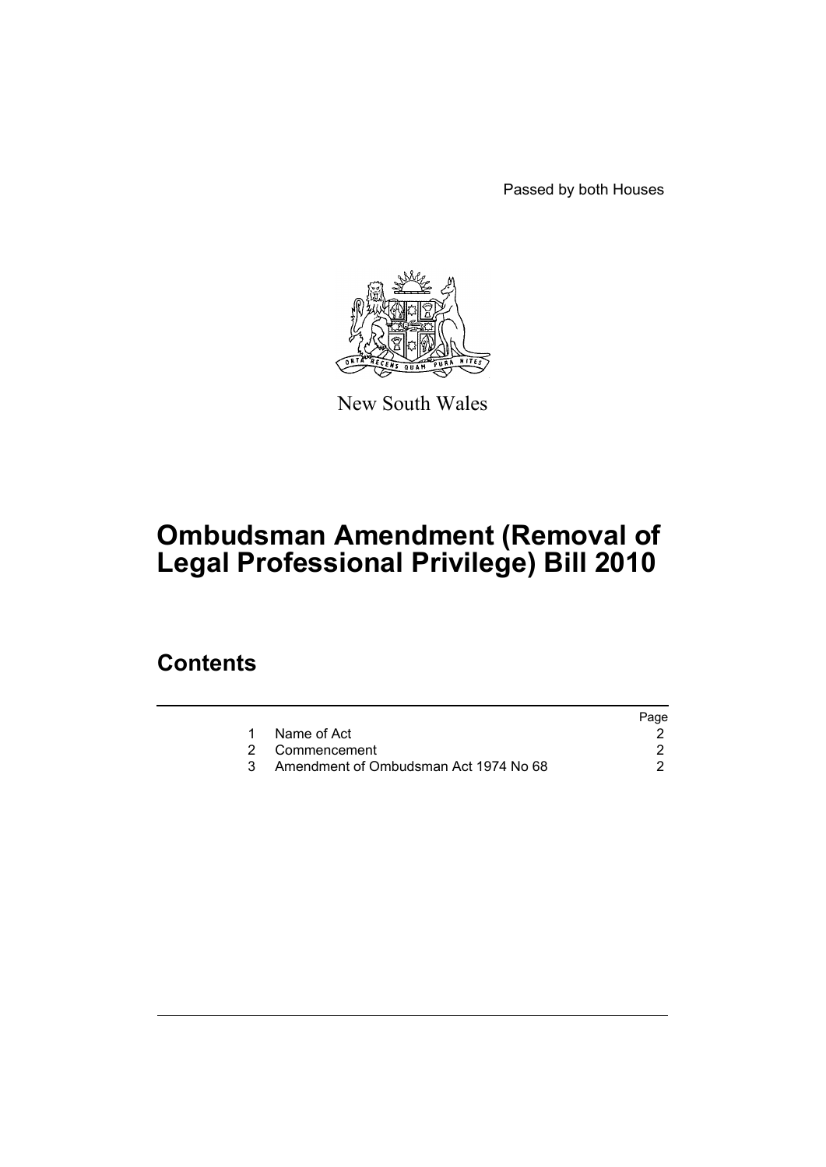Passed by both Houses



New South Wales

# **Ombudsman Amendment (Removal of Legal Professional Privilege) Bill 2010**

### **Contents**

|                                       | Page |
|---------------------------------------|------|
| Name of Act                           |      |
| 2 Commencement                        |      |
| Amendment of Ombudsman Act 1974 No 68 |      |
|                                       |      |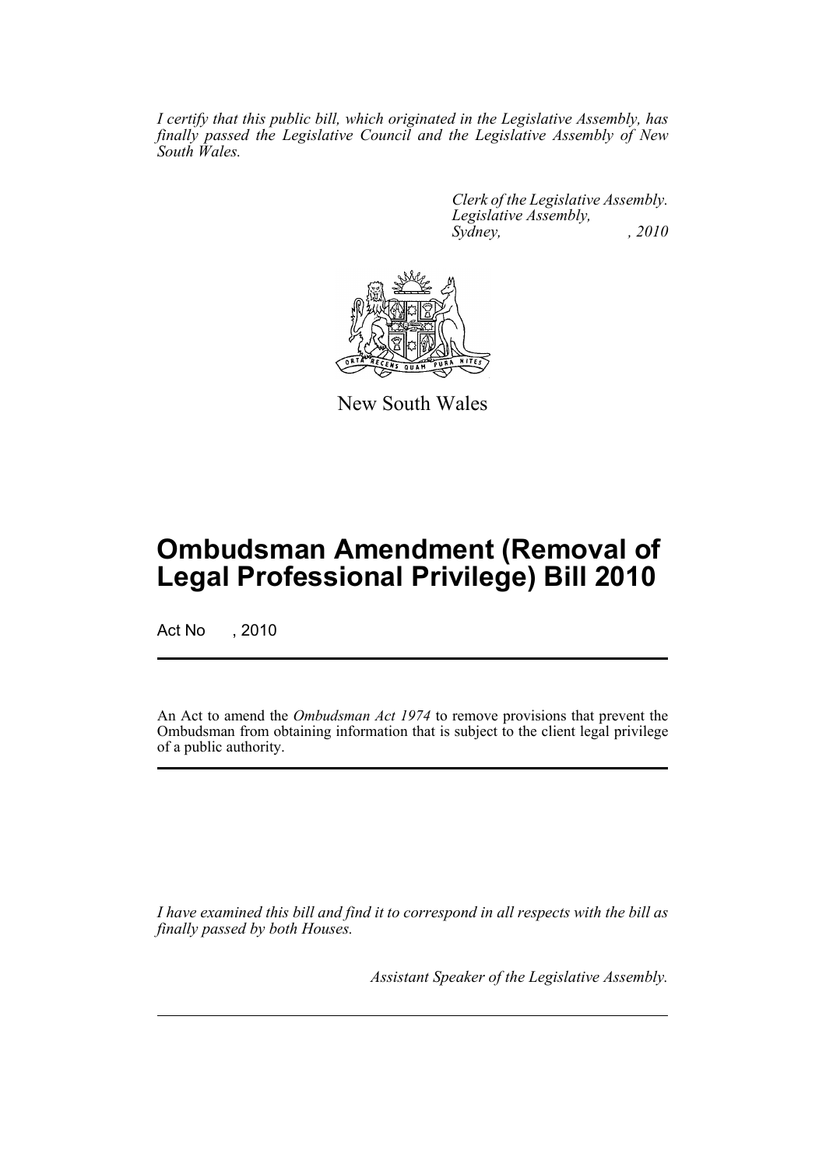*I certify that this public bill, which originated in the Legislative Assembly, has finally passed the Legislative Council and the Legislative Assembly of New South Wales.*

> *Clerk of the Legislative Assembly. Legislative Assembly, Sydney, , 2010*



New South Wales

## **Ombudsman Amendment (Removal of Legal Professional Privilege) Bill 2010**

Act No , 2010

An Act to amend the *Ombudsman Act 1974* to remove provisions that prevent the Ombudsman from obtaining information that is subject to the client legal privilege of a public authority.

*I have examined this bill and find it to correspond in all respects with the bill as finally passed by both Houses.*

*Assistant Speaker of the Legislative Assembly.*